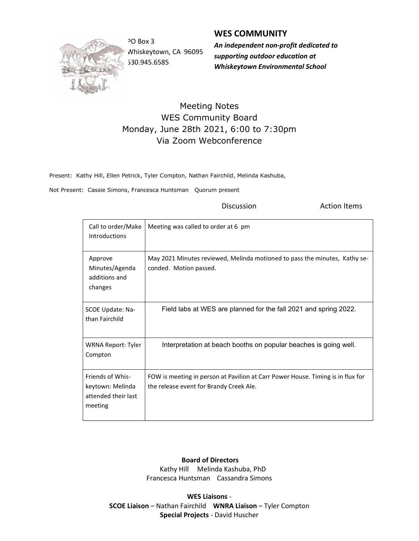

Whiskeytown, CA 96095 530.945.6585

WES COMMUNITY

**Discussion Constanting Discussion Action Items** 

PO Box 3 **An independent non-profit dedicated to** supporting outdoor education at Whiskeytown Environmental School

## Meeting Notes WES Community Board Monday, June 28th 2021, 6:00 to 7:30pm Via Zoom Webconference

Present: Kathy Hill, Ellen Petrick, Tyler Compton, Nathan Fairchild, Melinda Kashuba,

Not Present: Cassie Simons, Francesca Huntsman Quorum present

| Call to order/Make<br><b>Introductions</b>                             | Meeting was called to order at 6 pm                                                                                        |
|------------------------------------------------------------------------|----------------------------------------------------------------------------------------------------------------------------|
| Approve<br>Minutes/Agenda<br>additions and<br>changes                  | May 2021 Minutes reviewed, Melinda motioned to pass the minutes, Kathy se-<br>conded. Motion passed.                       |
| SCOE Update: Na-<br>than Fairchild                                     | Field labs at WES are planned for the fall 2021 and spring 2022.                                                           |
| <b>WRNA Report: Tyler</b><br>Compton                                   | Interpretation at beach booths on popular beaches is going well.                                                           |
| Friends of Whis-<br>keytown: Melinda<br>attended their last<br>meeting | FOW is meeting in person at Pavilion at Carr Power House. Timing is in flux for<br>the release event for Brandy Creek Ale. |

## Board of Directors Kathy Hill Melinda Kashuba, PhD

Francesca Huntsman Cassandra Simons

WES Liaisons - SCOE Liaison – Nathan Fairchild WNRA Liaison – Tyler Compton Special Projects - David Huscher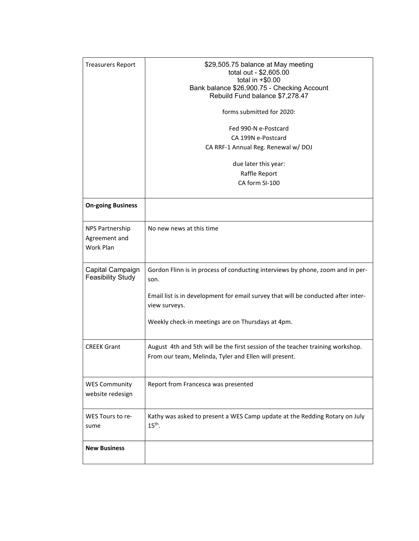| <b>Treasurers Report</b>                      | \$29,505.75 balance at May meeting<br>total out - \$2,605.00<br>total in $+$0.00$<br>Bank balance \$26,900.75 - Checking Account<br>Rebuild Fund balance \$7,278.47<br>forms submitted for 2020:<br>Fed 990-N e-Postcard<br>CA 199N e-Postcard<br>CA RRF-1 Annual Reg. Renewal w/ DOJ<br>due later this year:<br>Raffle Report |
|-----------------------------------------------|--------------------------------------------------------------------------------------------------------------------------------------------------------------------------------------------------------------------------------------------------------------------------------------------------------------------------------|
|                                               | CA form SI-100                                                                                                                                                                                                                                                                                                                 |
| <b>On-going Business</b>                      |                                                                                                                                                                                                                                                                                                                                |
| NPS Partnership<br>Agreement and<br>Work Plan | No new news at this time                                                                                                                                                                                                                                                                                                       |
| Capital Campaign<br><b>Feasibility Study</b>  | Gordon Flinn is in process of conducting interviews by phone, zoom and in per-<br>son.<br>Email list is in development for email survey that will be conducted after inter-                                                                                                                                                    |
|                                               | view surveys.                                                                                                                                                                                                                                                                                                                  |
|                                               | Weekly check-in meetings are on Thursdays at 4pm.                                                                                                                                                                                                                                                                              |
| <b>CREEK Grant</b>                            | August 4th and 5th will be the first session of the teacher training workshop.<br>From our team, Melinda, Tyler and Ellen will present.                                                                                                                                                                                        |
| <b>WES Community</b><br>website redesign      | Report from Francesca was presented                                                                                                                                                                                                                                                                                            |
| WES Tours to re-<br>sume                      | Kathy was asked to present a WES Camp update at the Redding Rotary on July<br>$15th$ .                                                                                                                                                                                                                                         |
| <b>New Business</b>                           |                                                                                                                                                                                                                                                                                                                                |